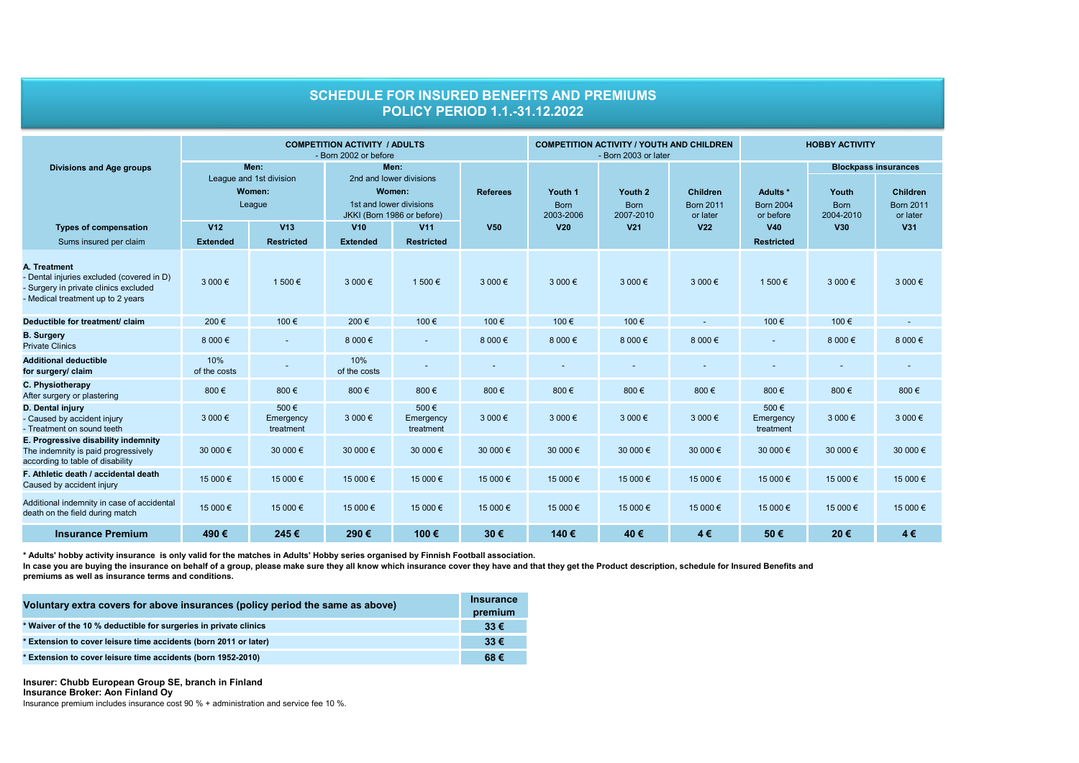|                                                                                                                                         | <b>COMPETITION ACTIVITY / ADULTS</b><br>- Born 2002 or before |                                |                                                                                                    |                                 |                 | <b>COMPETITION ACTIVITY / YOUTH AND CHILDREN</b><br>- Born 2003 or later |                                     |                                                 | <b>HOBBY ACTIVITY</b>                     |                                   |                                                                                |
|-----------------------------------------------------------------------------------------------------------------------------------------|---------------------------------------------------------------|--------------------------------|----------------------------------------------------------------------------------------------------|---------------------------------|-----------------|--------------------------------------------------------------------------|-------------------------------------|-------------------------------------------------|-------------------------------------------|-----------------------------------|--------------------------------------------------------------------------------|
| <b>Divisions and Age groups</b>                                                                                                         | Men:<br>League and 1st division<br>Women:<br>League           |                                | Men:<br>2nd and lower divisions<br>Women:<br>1st and lower divisions<br>JKKI (Born 1986 or before) |                                 | <b>Referees</b> | Youth 1<br><b>Born</b><br>2003-2006                                      | Youth 2<br><b>Born</b><br>2007-2010 | <b>Children</b><br><b>Born 2011</b><br>or later | Adults *<br><b>Born 2004</b><br>or before | Youth<br><b>Born</b><br>2004-2010 | <b>Blockpass insurances</b><br><b>Children</b><br><b>Born 2011</b><br>or later |
| <b>Types of compensation</b><br>Sums insured per claim                                                                                  | V <sub>12</sub><br><b>Extended</b>                            | V13<br><b>Restricted</b>       | V10<br><b>Extended</b>                                                                             | <b>V11</b><br><b>Restricted</b> | <b>V50</b>      | V <sub>20</sub>                                                          | V <sub>21</sub>                     | V <sub>22</sub>                                 | V40<br><b>Restricted</b>                  | V30                               | V31                                                                            |
| A. Treatment<br>- Dental injuries excluded (covered in D)<br>- Surgery in private clinics excluded<br>- Medical treatment up to 2 years | 3 000 €                                                       | 1 500 €                        | 3 000€                                                                                             | 1 500 €                         | 3 000 €         | 3 000€                                                                   | 3 000 €                             | 3 000€                                          | 1 500 €                                   | 3 000 €                           | 3 000€                                                                         |
| Deductible for treatment/ claim                                                                                                         | 200€                                                          | 100€                           | 200€                                                                                               | 100€                            | 100 €           | 100€                                                                     | 100€                                |                                                 | 100€                                      | 100€                              |                                                                                |
| <b>B. Surgery</b><br><b>Private Clinics</b>                                                                                             | 8 000 €                                                       | ٠                              | 8 000 €                                                                                            |                                 | 8 000 €         | 8 0 0 $\in$                                                              | 8 000 €                             | 8 000 €                                         |                                           | 8 000 €                           | 8 000 €                                                                        |
| <b>Additional deductible</b><br>for surgery/ claim                                                                                      | 10%<br>of the costs                                           |                                | 10%<br>of the costs                                                                                |                                 |                 |                                                                          |                                     |                                                 |                                           |                                   |                                                                                |
| C. Physiotherapy<br>After surgery or plastering                                                                                         | 800€                                                          | 800€                           | 800€                                                                                               | 800€                            | 800€            | 800€                                                                     | 800€                                | 800€                                            | 800€                                      | 800€                              | 800€                                                                           |
| D. Dental injury<br>- Caused by accident injury<br>- Treatment on sound teeth                                                           | 3 000 €                                                       | 500€<br>Emergency<br>treatment | 3 000€                                                                                             | 500€<br>Emergency<br>treatment  | 3 000 €         | 3 000 €                                                                  | 3 000 €                             | 3 000 €                                         | 500€<br>Emergency<br>treatment            | 3 000 €                           | 3 000 €                                                                        |
| E. Progressive disability indemnity<br>The indemnity is paid progressively<br>according to table of disability                          | 30 000 €                                                      | 30 000 €                       | 30 000 €                                                                                           | 30 000 €                        | 30 000 €        | 30 000 €                                                                 | 30 000 €                            | 30 000 €                                        | 30 000 €                                  | 30 000 €                          | 30 000 €                                                                       |
| F. Athletic death / accidental death<br>Caused by accident injury                                                                       | 15 000 €                                                      | 15 000 €                       | 15 000 €                                                                                           | 15 000 €                        | 15 000 €        | 15 000 €                                                                 | 15 000 €                            | 15 000 €                                        | 15 000 €                                  | 15 000 €                          | 15 000 €                                                                       |
| Additional indemnity in case of accidental<br>death on the field during match                                                           | 15 000 €                                                      | 15 000 €                       | 15 000 €                                                                                           | 15 000 €                        | 15 000 €        | 15 000 €                                                                 | 15 000 €                            | 15 000 €                                        | 15 000 €                                  | 15 000 €                          | 15 000 €                                                                       |
| <b>Insurance Premium</b>                                                                                                                | 490€                                                          | 245€                           | 290€                                                                                               | 100€                            | 30€             | 140€                                                                     | 40€                                 | 4€                                              | 50€                                       | 20€                               | 4€                                                                             |

**SCHEDULE FOR INSURED BENEFITS AND PREMIUMS POLICY PERIOD 1.1.-31.12.2022**

**\* Adults' hobby activity insurance is only valid for the matches in Adults' Hobby series organised by Finnish Football association.**

**premiums as well as insurance terms and conditions.** In case you are buying the insurance on behalf of a group, please make sure they all know which insurance cover they have and that they get the Product description, schedule for Insured Benefits and

| Voluntary extra covers for above insurances (policy period the same as above) |          |  |  |  |
|-------------------------------------------------------------------------------|----------|--|--|--|
| * Waiver of the 10 % deductible for surgeries in private clinics              | $33 \in$ |  |  |  |
| * Extension to cover leisure time accidents (born 2011 or later)              | $33 \in$ |  |  |  |
| * Extension to cover leisure time accidents (born 1952-2010)                  | 68€      |  |  |  |

**Insurer: Chubb European Group SE, branch in Finland Insurance Broker: Aon Finland Oy**

Insurance premium includes insurance cost 90 % + administration and service fee 10 %.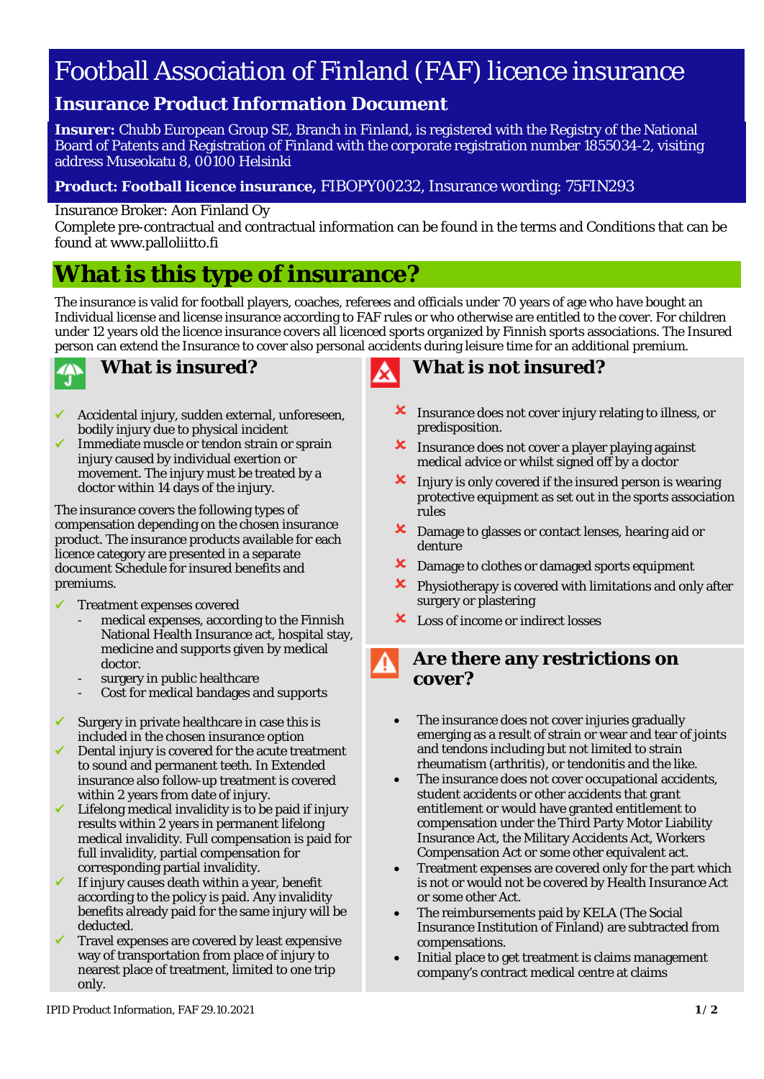# Football Association of Finland (FAF) licence insurance

# **Insurance Product Information Document**

**Insurer:** Chubb European Group SE, Branch in Finland, is registered with the Registry of the National Board of Patents and Registration of Finland with the corporate registration number 1855034-2, visiting address Museokatu 8, 00100 Helsinki

# **Product: Football licence insurance,** FIBOPY00232, Insurance wording: 75FIN293

## Insurance Broker: Aon Finland Oy

Complete pre-contractual and contractual information can be found in the terms and Conditions that can be found at www.palloliitto.fi

# **What is this type of insurance?**

The insurance is valid for football players, coaches, referees and officials under 70 years of age who have bought an Individual license and license insurance according to FAF rules or who otherwise are entitled to the cover. For children under 12 years old the licence insurance covers all licenced sports organized by Finnish sports associations. The Insured person can extend the Insurance to cover also personal accidents during leisure time for an additional premium.



# **What is insured?**

- $\checkmark$  Accidental injury, sudden external, unforeseen, bodily injury due to physical incident
- Immediate muscle or tendon strain or sprain injury caused by individual exertion or movement. The injury must be treated by a doctor within 14 days of the injury.

The insurance covers the following types of compensation depending on the chosen insurance product. The insurance products available for each licence category are presented in a separate document Schedule for insured benefits and premiums.

# Treatment expenses covered

- medical expenses, according to the Finnish National Health Insurance act, hospital stay, medicine and supports given by medical doctor.
- surgery in public healthcare
- Cost for medical bandages and supports
- $\checkmark$  Surgery in private healthcare in case this is included in the chosen insurance option
- $\sqrt{\phantom{a}}$  Dental injury is covered for the acute treatment to sound and permanent teeth. In Extended insurance also follow-up treatment is covered within 2 years from date of injury.
- Lifelong medical invalidity is to be paid if injury results within 2 years in permanent lifelong medical invalidity. Full compensation is paid for full invalidity, partial compensation for corresponding partial invalidity.
- If injury causes death within a year, benefit according to the policy is paid. Any invalidity benefits already paid for the same injury will be deducted.
- Travel expenses are covered by least expensive way of transportation from place of injury to nearest place of treatment, limited to one trip only.



# **What is not insured?**

- **X** Insurance does not cover injury relating to illness, or predisposition.
- **X** Insurance does not cover a player playing against medical advice or whilst signed off by a doctor
- $\mathbf{\times}$  Injury is only covered if the insured person is wearing protective equipment as set out in the sports association rules
- Damage to glasses or contact lenses, hearing aid or denture
- **X** Damage to clothes or damaged sports equipment
- $\boldsymbol{\times}$  Physiotherapy is covered with limitations and only after surgery or plastering
- **X** Loss of income or indirect losses

# **Are there any restrictions on cover?**

- The insurance does not cover injuries gradually emerging as a result of strain or wear and tear of joints and tendons including but not limited to strain rheumatism (arthritis), or tendonitis and the like.
- The insurance does not cover occupational accidents, student accidents or other accidents that grant entitlement or would have granted entitlement to compensation under the Third Party Motor Liability Insurance Act, the Military Accidents Act, Workers Compensation Act or some other equivalent act.
- Treatment expenses are covered only for the part which is not or would not be covered by Health Insurance Act or some other Act.
- The reimbursements paid by KELA (The Social Insurance Institution of Finland) are subtracted from compensations.
- Initial place to get treatment is claims management company's contract medical centre at claims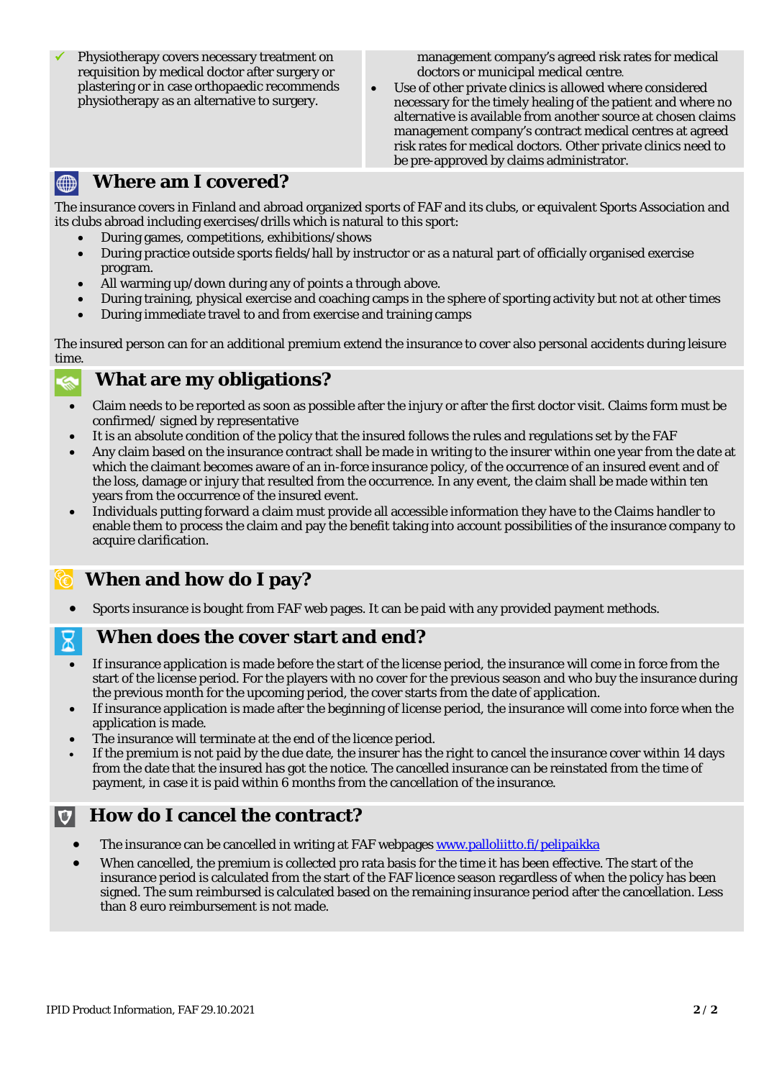Physiotherapy covers necessary treatment on requisition by medical doctor after surgery or plastering or in case orthopaedic recommends physiotherapy as an alternative to surgery.

management company's agreed risk rates for medical doctors or municipal medical centre.

Use of other private clinics is allowed where considered necessary for the timely healing of the patient and where no alternative is available from another source at chosen claims management company's contract medical centres at agreed risk rates for medical doctors. Other private clinics need to be pre-approved by claims administrator.

#### **Where am I covered?**  $\bigoplus$

The insurance covers in Finland and abroad organized sports of FAF and its clubs, or equivalent Sports Association and its clubs abroad including exercises/drills which is natural to this sport:

- During games, competitions, exhibitions/shows
- During practice outside sports fields/hall by instructor or as a natural part of officially organised exercise program.
- All warming up/down during any of points a through above.
- During training, physical exercise and coaching camps in the sphere of sporting activity but not at other times
- During immediate travel to and from exercise and training camps

The insured person can for an additional premium extend the insurance to cover also personal accidents during leisure time.

# **What are my obligations?**

- Claim needs to be reported as soon as possible after the injury or after the first doctor visit. Claims form must be confirmed/ signed by representative
- It is an absolute condition of the policy that the insured follows the rules and regulations set by the FAF
- Any claim based on the insurance contract shall be made in writing to the insurer within one year from the date at which the claimant becomes aware of an in-force insurance policy, of the occurrence of an insured event and of the loss, damage or injury that resulted from the occurrence. In any event, the claim shall be made within ten years from the occurrence of the insured event.
- Individuals putting forward a claim must provide all accessible information they have to the Claims handler to enable them to process the claim and pay the benefit taking into account possibilities of the insurance company to acquire clarification.

# **When and how do I pay?**

• Sports insurance is bought from FAF web pages. It can be paid with any provided payment methods.

# **When does the cover start and end?**

- If insurance application is made before the start of the license period, the insurance will come in force from the start of the license period. For the players with no cover for the previous season and who buy the insurance during the previous month for the upcoming period, the cover starts from the date of application.
- If insurance application is made after the beginning of license period, the insurance will come into force when the application is made.
- The insurance will terminate at the end of the licence period.
- If the premium is not paid by the due date, the insurer has the right to cancel the insurance cover within 14 days from the date that the insured has got the notice. The cancelled insurance can be reinstated from the time of payment, in case it is paid within 6 months from the cancellation of the insurance.

#### **How do I cancel the contract?**   $|\mathbf{U}|$

- The insurance can be cancelled in writing at FAF webpages [www.palloliitto.fi/pelipaikka](http://www.palloliitto.fi/pelipaikka)
- When cancelled, the premium is collected pro rata basis for the time it has been effective. The start of the insurance period is calculated from the start of the FAF licence season regardless of when the policy has been signed. The sum reimbursed is calculated based on the remaining insurance period after the cancellation. Less than 8 euro reimbursement is not made.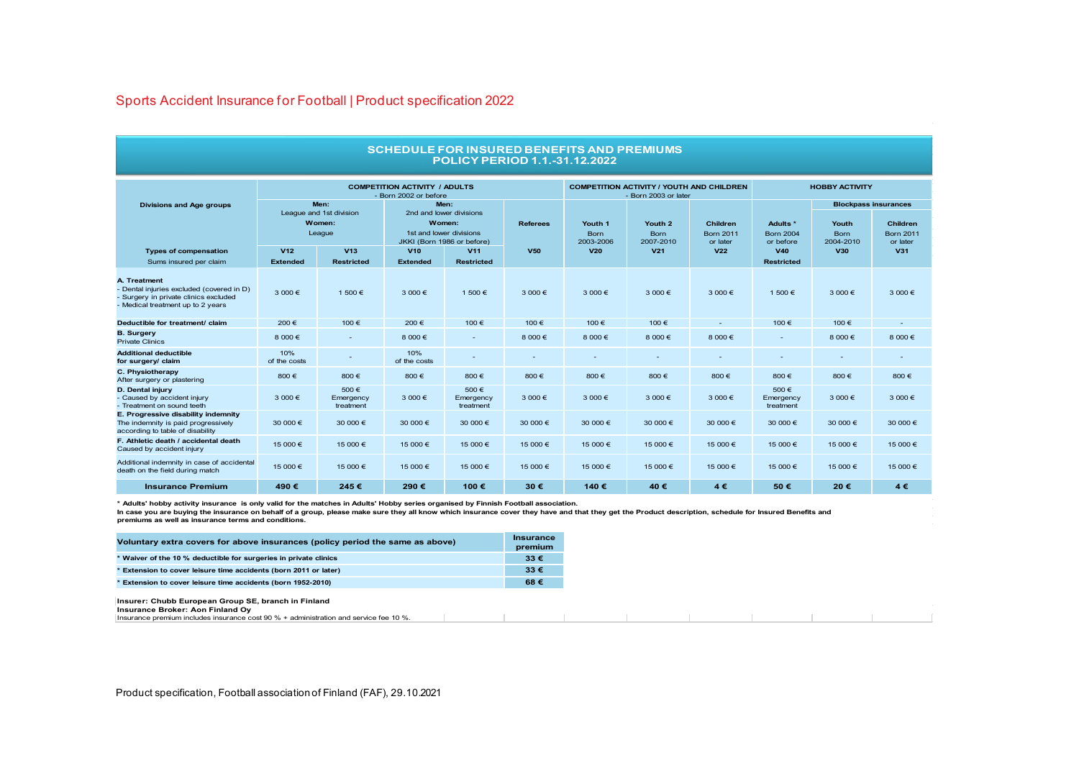#### Sports Accident Insurance for Football | Product specification 2022

| <b>POLICY PERIOD 1.1.-31.12.2022</b>                                                                                                    |                                                               |                                |                                                                                                    |                                 |                 |                                                                          |                                     |                                                 |                                           |                                   |                                                                                |
|-----------------------------------------------------------------------------------------------------------------------------------------|---------------------------------------------------------------|--------------------------------|----------------------------------------------------------------------------------------------------|---------------------------------|-----------------|--------------------------------------------------------------------------|-------------------------------------|-------------------------------------------------|-------------------------------------------|-----------------------------------|--------------------------------------------------------------------------------|
|                                                                                                                                         | <b>COMPETITION ACTIVITY / ADULTS</b><br>- Born 2002 or before |                                |                                                                                                    |                                 |                 | <b>COMPETITION ACTIVITY / YOUTH AND CHILDREN</b><br>- Born 2003 or later |                                     |                                                 | <b>HOBBY ACTIVITY</b>                     |                                   |                                                                                |
| <b>Divisions and Age groups</b>                                                                                                         | Men:<br>League and 1st division<br>Women:<br>League           |                                | Men:<br>2nd and lower divisions<br>Women:<br>1st and lower divisions<br>JKKI (Born 1986 or before) |                                 | <b>Referees</b> | Youth 1<br><b>Born</b><br>2003-2006                                      | Youth 2<br><b>Born</b><br>2007-2010 | <b>Children</b><br><b>Born 2011</b><br>or later | Adults *<br><b>Born 2004</b><br>or before | Youth<br><b>Born</b><br>2004-2010 | <b>Blockpass insurances</b><br><b>Children</b><br><b>Born 2011</b><br>or later |
| <b>Types of compensation</b>                                                                                                            | V <sub>12</sub>                                               | V13                            | V10                                                                                                | V <sub>11</sub>                 | <b>V50</b>      | V <sub>20</sub>                                                          | V <sub>21</sub>                     | V <sub>22</sub>                                 | V40                                       | <b>V30</b>                        | V31                                                                            |
| Sums insured per claim                                                                                                                  | <b>Extended</b>                                               | <b>Restricted</b>              | <b>Extended</b>                                                                                    | <b>Restricted</b>               |                 |                                                                          |                                     |                                                 | <b>Restricted</b>                         |                                   |                                                                                |
| A. Treatment<br>- Dental injuries excluded (covered in D)<br>- Surgery in private clinics excluded<br>- Medical treatment up to 2 years | 3 000 €                                                       | 1 500 €                        | 3 000 €                                                                                            | 1 500 €                         | $3000 \in$      | $3000 \in$                                                               | $3000 \in$                          | $3000 \in$                                      | 1 500 €                                   | 3 000 €                           | $3000 \in$                                                                     |
| Deductible for treatment/ claim                                                                                                         | 200€                                                          | 100€                           | 200€                                                                                               | 100 €                           | 100€            | 100€                                                                     | 100 €                               |                                                 | 100€                                      | 100€                              |                                                                                |
| <b>B.</b> Surgery<br><b>Private Clinics</b>                                                                                             | 8 000 €                                                       | $\overline{\phantom{a}}$       | 8 000 €                                                                                            | $\overline{a}$                  | 8 000 €         | 8 000 €                                                                  | 8 000 €                             | 8 000 €                                         | ٠                                         | 8 000 €                           | 8 000 €                                                                        |
| <b>Additional deductible</b><br>for surgery/ claim                                                                                      | 10%<br>of the costs                                           |                                | 10%<br>of the costs                                                                                |                                 |                 |                                                                          |                                     |                                                 |                                           | ٠                                 |                                                                                |
| C. Physiotherapy<br>After surgery or plastering                                                                                         | 800€                                                          | 800€                           | 800€                                                                                               | 800€                            | 800€            | 800€                                                                     | 800€                                | 800€                                            | 800€                                      | 800€                              | 800€                                                                           |
| D. Dental injury<br>- Caused by accident injury<br>- Treatment on sound teeth                                                           | 3 000 €                                                       | 500€<br>Emergency<br>treatment | 3 000 €                                                                                            | 500 €<br>Emergency<br>treatment | $3000 \in$      | $3000 \in$                                                               | $3000 \in$                          | $3000 \in$                                      | 500€<br>Emergency<br>treatment            | 3 000 €                           | $3000 \in$                                                                     |
| E. Progressive disability indemnity<br>The indemnity is paid progressively<br>according to table of disability                          | 30 000 €                                                      | 30 000 €                       | 30 000 €                                                                                           | 30 000 €                        | 30 000 €        | 30 000 €                                                                 | 30 000 €                            | 30 000 €                                        | 30 000 €                                  | 30 000 €                          | 30 000 €                                                                       |
| F. Athletic death / accidental death<br>Caused by accident injury                                                                       | 15 000 €                                                      | 15 000 €                       | 15 000 €                                                                                           | 15 000 €                        | 15 000 €        | 15 000 €                                                                 | 15 000 €                            | 15 000 €                                        | 15 000 €                                  | 15 000 €                          | 15 000 €                                                                       |
| Additional indemnity in case of accidental<br>death on the field during match                                                           | 15 000 €                                                      | 15 000 €                       | 15 000 €                                                                                           | 15 000 €                        | 15 000 €        | 15 000 €                                                                 | 15 000 €                            | 15 000 €                                        | 15 000 €                                  | 15 000 €                          | 15 000 €                                                                       |
| <b>Insurance Premium</b>                                                                                                                | 490€                                                          | 245€                           | 290€                                                                                               | 100€                            | 30€             | 140€                                                                     | 40€                                 | $4 \in$                                         | 50€                                       | 20€                               | 4€                                                                             |

**Contract Contract** 

**SCHEDULE FOR INSURED BENEFITS AND PREMIUMS**

\* Adults' hobby activity insurance is only valid for the matches in Adults' Hobby series organised by Finnish Football association.<br>In case you are buying the insurance on behalf of a group, please make sure they all know **premiums as well as insurance terms and conditions.**

|                                                            | Voluntary extra covers for above insurances (policy period the same as above)                                                                                                          | <b>Insurance</b><br>premium |
|------------------------------------------------------------|----------------------------------------------------------------------------------------------------------------------------------------------------------------------------------------|-----------------------------|
|                                                            | * Waiver of the 10 % deductible for surgeries in private clinics                                                                                                                       | $33 \in$                    |
|                                                            | Extension to cover leisure time accidents (born 2011 or later)                                                                                                                         | $33 \in$                    |
| Extension to cover leisure time accidents (born 1952-2010) |                                                                                                                                                                                        | 68€                         |
|                                                            | Insurer: Chubb European Group SE, branch in Finland<br><b>Insurance Broker: Aon Finland Ov</b><br>Insurance premium includes insurance cost 90 % + administration and service fee 10 % |                             |

**Insurance Broker: Aon Finland Oy** Insurance premium includes insurance cost 90 % + administration and service fee 10 %.

Product specification, Football association of Finland (FAF), 29.10.2021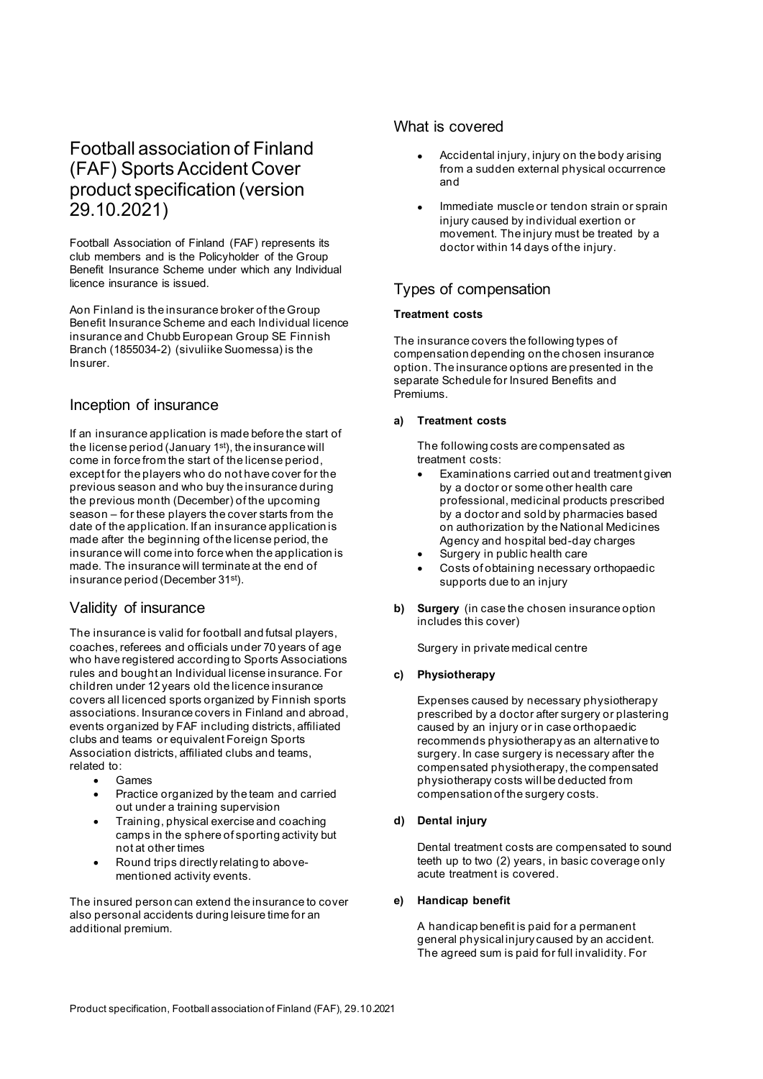# Football association of Finland (FAF) Sports Accident Cover product specification (version 29.10.2021)

Football Association of Finland (FAF) represents its club members and is the Policyholder of the Group Benefit Insurance Scheme under which any Individual licence insurance is issued.

Aon Finland is the insurance broker of the Group Benefit Insurance Scheme and each Individual licence insurance and Chubb European Group SE Finnish Branch (1855034-2) (sivuliike Suomessa) is the Insurer.

### Inception of insurance

If an insurance application is made before the start of the license period (January 1st), the insurance will come in force from the start of the license period, except for the players who do not have cover for the previous season and who buy the insurance during the previous month (December) of the upcoming season – for these players the cover starts from the date of the application. If an insurance application is made after the beginning of the license period, the insurance will come into force when the application is made. The insurance will terminate at the end of insurance period (December 31st).

# Validity of insurance

The insurance is valid for football and futsal players, coaches, referees and officials under 70 years of age who have registered according to Sports Associations rules and bought an Individual license insurance. For children under 12 years old the licence insurance covers all licenced sports organized by Finnish sports associations. Insurance covers in Finland and abroad, events organized by FAF including districts, affiliated clubs and teams or equivalent Foreign Sports Association districts, affiliated clubs and teams, related to:

- Games
- Practice organized by the team and carried out under a training supervision
- Training, physical exercise and coaching camps in the sphere of sporting activity but not at other times
- Round trips directly relating to abovementioned activity events.

The insured person can extend the insurance to cover also personal accidents during leisure time for an additional premium.

#### What is covered

- Accidental injury, injury on the body arising from a sudden external physical occurrence and
- Immediate muscle or tendon strain or sprain injury caused by individual exertion or movement. The injury must be treated by a doctor within 14 days of the injury.

# Types of compensation

#### **Treatment costs**

The insurance covers the following types of compensation depending on the chosen insurance option. The insurance options are presented in the separate Schedule for Insured Benefits and Premiums.

#### **a) Treatment costs**

The following costs are compensated as treatment costs:

- Examinations carried out and treatment given by a doctor or some other health care professional, medicinal products prescribed by a doctor and sold by pharmacies based on authorization by the National Medicines Agency and hospital bed-day charges
- Surgery in public health care
- Costs of obtaining necessary orthopaedic supports due to an injury
- **b) Surgery** (in case the chosen insurance option includes this cover)

Surgery in private medical centre

#### **c) Physiotherapy**

Expenses caused by necessary physiotherapy prescribed by a doctor after surgery or plastering caused by an injury or in case orthopaedic recommends physiotherapy as an alternative to surgery. In case surgery is necessary after the compensated physiotherapy, the compensated physiotherapy costs will be deducted from compensation of the surgery costs.

#### **d) Dental injury**

Dental treatment costs are compensated to sound teeth up to two (2) years, in basic coverage only acute treatment is covered.

#### **e) Handicap benefit**

A handicap benefit is paid for a permanent general physical injury caused by an accident. The agreed sum is paid for full invalidity. For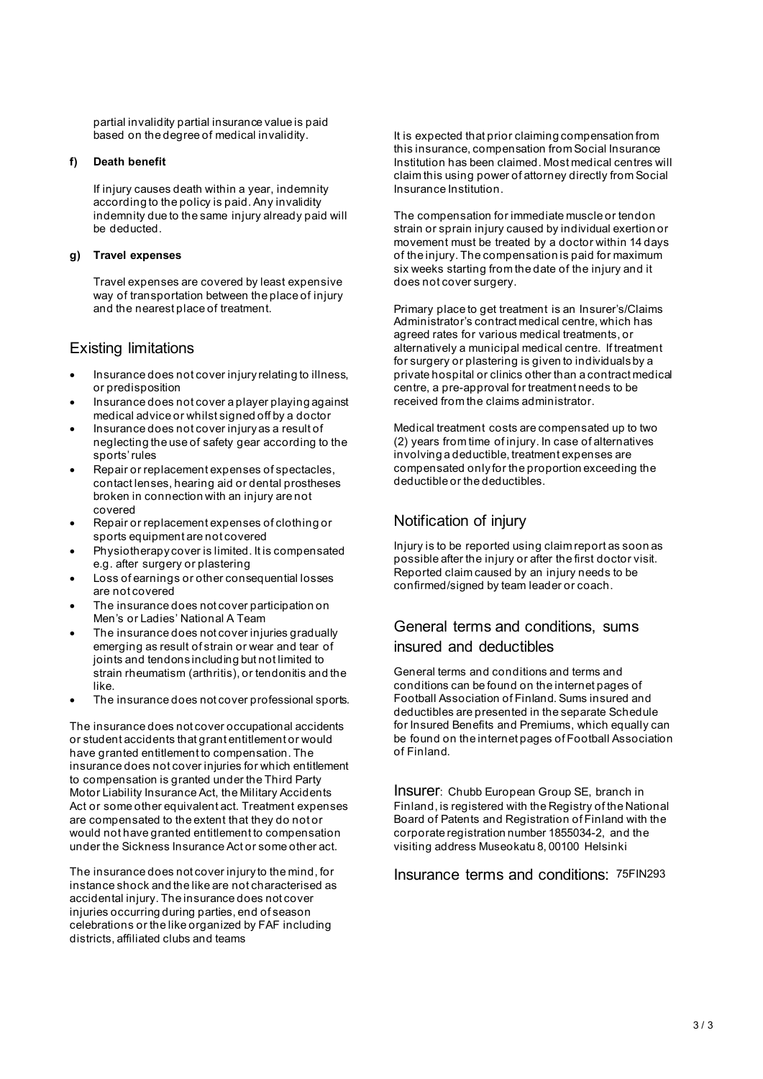partial invalidity partial insurance value is paid based on the degree of medical invalidity.

#### **f) Death benefit**

If injury causes death within a year, indemnity according to the policy is paid. Any invalidity indemnity due to the same injury already paid will be deducted.

#### **g) Travel expenses**

Travel expenses are covered by least expensive way of transportation between the place of injury and the nearest place of treatment.

# Existing limitations

- Insurance does not cover injury relating to illness, or predisposition
- Insurance does not cover a player playing against medical advice or whilst signed off by a doctor
- Insurance does not cover injury as a result of neglecting the use of safety gear according to the sports' rules
- Repair or replacement expenses of spectacles, contact lenses, hearing aid or dental prostheses broken in connection with an injury are not covered
- Repair or replacement expenses of clothing or sports equipment are not covered
- Physiotherapy cover is limited. It is compensated e.g. after surgery or plastering
- Loss of earnings or other consequential losses are not covered
- The insurance does not cover participation on Men's or Ladies' National A Team
- The insurance does not cover injuries gradually emerging as result of strain or wear and tear of joints and tendons including but not limited to strain rheumatism (arthritis), or tendonitis and the like.
- The insurance does not cover professional sports.

The insurance does not cover occupational accidents or student accidents that grant entitlement or would have granted entitlement to compensation. The insurance does not cover injuries for which entitlement to compensation is granted under the Third Party Motor Liability Insurance Act, the Military Accidents Act or some other equivalent act. Treatment expenses are compensated to the extent that they do not or would not have granted entitlement to compensation under the Sickness Insurance Act or some other act.

The insurance does not cover injury to the mind, for instance shock and the like are not characterised as accidental injury. The insurance does not cover injuries occurring during parties, end of season celebrations or the like organized by FAF including districts, affiliated clubs and teams

It is expected that prior claiming compensation from this insurance, compensation from Social Insurance Institution has been claimed. Most medical centres will claim this using power of attorney directly from Social Insurance Institution.

The compensation for immediate muscle or tendon strain or sprain injury caused by individual exertion or movement must be treated by a doctor within 14 days of the injury. The compensation is paid for maximum six weeks starting from the date of the injury and it does not cover surgery.

Primary place to get treatment is an Insurer's/Claims Administrator's contract medical centre, which has agreed rates for various medical treatments, or alternatively a municipal medical centre. If treatment for surgery or plastering is given to individuals by a private hospital or clinics other than a contract medical centre, a pre-approval for treatment needs to be received from the claims administrator.

Medical treatment costs are compensated up to two (2) years from time of injury. In case of alternatives involving a deductible, treatment expenses are compensated only for the proportion exceeding the deductible or the deductibles.

# Notification of injury

Injury is to be reported using claim report as soon as possible after the injury or after the first doctor visit. Reported claim caused by an injury needs to be confirmed/signed by team leader or coach.

# General terms and conditions, sums insured and deductibles

General terms and conditions and terms and conditions can be found on the internet pages of Football Association of Finland. Sums insured and deductibles are presented in the separate Schedule for Insured Benefits and Premiums, which equally can be found on the internet pages of Football Association of Finland.

Insurer: Chubb European Group SE, branch in Finland, is registered with the Registry of the National Board of Patents and Registration of Finland with the corporate registration number 1855034-2, and the visiting address Museokatu 8, 00100 Helsinki

Insurance terms and conditions: 75FIN293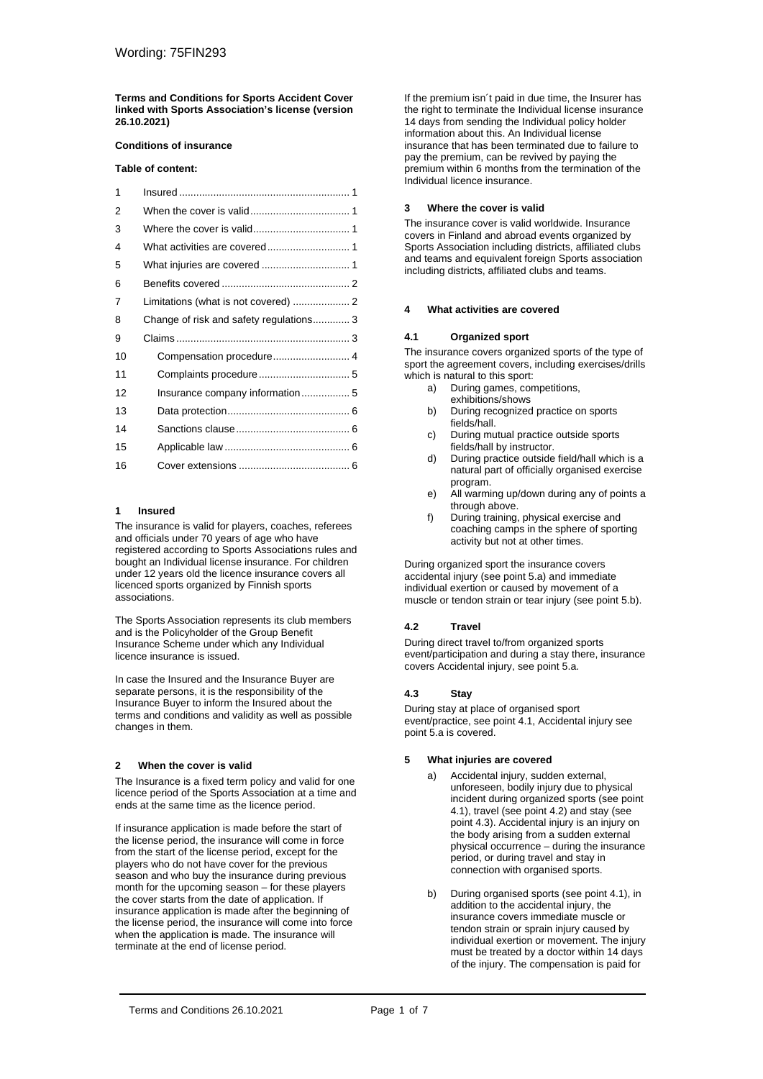**Terms and Conditions for Sports Accident Cover linked with Sports Association's license (version 26.10.2021)**

#### **Conditions of insurance**

#### **Table of content:**

| 1  |                                        |  |
|----|----------------------------------------|--|
| 2  |                                        |  |
| 3  |                                        |  |
| 4  |                                        |  |
| 5  |                                        |  |
| 6  |                                        |  |
| 7  |                                        |  |
| 8  | Change of risk and safety regulations3 |  |
| 9  |                                        |  |
| 10 |                                        |  |
| 11 |                                        |  |
| 12 |                                        |  |
| 13 |                                        |  |
| 14 |                                        |  |
| 15 |                                        |  |
| 16 |                                        |  |

#### <span id="page-6-0"></span>**1 Insured**

The insurance is valid for players, coaches, referees and officials under 70 years of age who have registered according to Sports Associations rules and bought an Individual license insurance. For children under 12 years old the licence insurance covers all licenced sports organized by Finnish sports associations.

The Sports Association represents its club members and is the Policyholder of the Group Benefit Insurance Scheme under which any Individual licence insurance is issued.

In case the Insured and the Insurance Buyer are separate persons, it is the responsibility of the Insurance Buyer to inform the Insured about the terms and conditions and validity as well as possible changes in them.

#### <span id="page-6-1"></span>**2 When the cover is valid**

The Insurance is a fixed term policy and valid for one licence period of the Sports Association at a time and ends at the same time as the licence period.

If insurance application is made before the start of the license period, the insurance will come in force from the start of the license period, except for the players who do not have cover for the previous season and who buy the insurance during previous month for the upcoming season – for these players the cover starts from the date of application. If insurance application is made after the beginning of the license period, the insurance will come into force when the application is made. The insurance will terminate at the end of license period.

If the premium isn´t paid in due time, the Insurer has the right to terminate the Individual license insurance 14 days from sending the Individual policy holder information about this. An Individual license insurance that has been terminated due to failure to pay the premium, can be revived by paying the premium within 6 months from the termination of the Individual licence insurance.

#### <span id="page-6-2"></span>**3 Where the cover is valid**

The insurance cover is valid worldwide. Insurance covers in Finland and abroad events organized by Sports Association including districts, affiliated clubs and teams and equivalent foreign Sports association including districts, affiliated clubs and teams.

#### <span id="page-6-3"></span>**4 What activities are covered**

#### **4.1 Organized sport**

The insurance covers organized sports of the type of sport the agreement covers, including exercises/drills which is natural to this sport:<br>a) During games, con

- During games, competitions, exhibitions/shows
- b) During recognized practice on sports fields/hall.
- c) During mutual practice outside sports fields/hall by instructor.
- d) During practice outside field/hall which is a natural part of officially organised exercise program.
- e) All warming up/down during any of points a through above.
- f) During training, physical exercise and coaching camps in the sphere of sporting activity but not at other times.

During organized sport the insurance covers accidental injury (see point 5.a) and immediate individual exertion or caused by movement of a muscle or tendon strain or tear injury (see point 5.b).

#### **4.2 Travel**

During direct travel to/from organized sports event/participation and during a stay there, insurance covers Accidental injury, see point 5.a.

#### **4.3 Stay**

During stay at place of organised sport event/practice, see point 4.1, Accidental injury see point 5.a is covered.

#### <span id="page-6-4"></span>**5 What injuries are covered**

- a) Accidental injury, sudden external, unforeseen, bodily injury due to physical incident during organized sports (see point 4.1), travel (see point 4.2) and stay (see point 4.3). Accidental injury is an injury on the body arising from a sudden external physical occurrence – during the insurance period, or during travel and stay in connection with organised sports.
- b) During organised sports (see point 4.1), in addition to the accidental injury, the insurance covers immediate muscle or tendon strain or sprain injury caused by individual exertion or movement. The injury must be treated by a doctor within 14 days of the injury. The compensation is paid for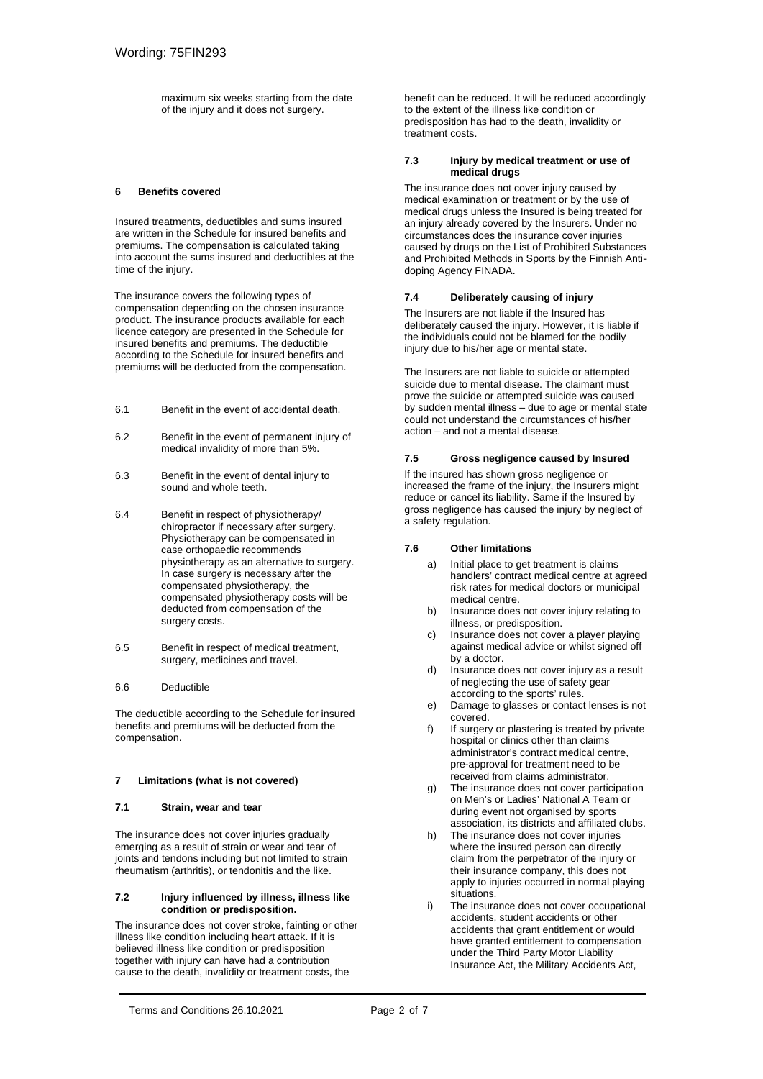maximum six weeks starting from the date of the injury and it does not surgery.

#### <span id="page-7-0"></span>**6 Benefits covered**

Insured treatments, deductibles and sums insured are written in the Schedule for insured benefits and premiums. The compensation is calculated taking into account the sums insured and deductibles at the time of the injury.

The insurance covers the following types of compensation depending on the chosen insurance product. The insurance products available for each licence category are presented in the Schedule for insured benefits and premiums. The deductible according to the Schedule for insured benefits and premiums will be deducted from the compensation.

- 6.1 Benefit in the event of accidental death.
- 6.2 Benefit in the event of permanent injury of medical invalidity of more than 5%.
- 6.3 Benefit in the event of dental injury to sound and whole teeth.
- 6.4 Benefit in respect of physiotherapy/ chiropractor if necessary after surgery. Physiotherapy can be compensated in case orthopaedic recommends physiotherapy as an alternative to surgery. In case surgery is necessary after the compensated physiotherapy, the compensated physiotherapy costs will be deducted from compensation of the surgery costs.
- 6.5 Benefit in respect of medical treatment, surgery, medicines and travel.

#### 6.6 Deductible

The deductible according to the Schedule for insured benefits and premiums will be deducted from the compensation.

#### <span id="page-7-1"></span>**7 Limitations (what is not covered)**

#### **7.1 Strain, wear and tear**

The insurance does not cover injuries gradually emerging as a result of strain or wear and tear of joints and tendons including but not limited to strain rheumatism (arthritis), or tendonitis and the like.

#### **7.2 Injury influenced by illness, illness like condition or predisposition.**

The insurance does not cover stroke, fainting or other illness like condition including heart attack. If it is believed illness like condition or predisposition together with injury can have had a contribution cause to the death, invalidity or treatment costs, the

benefit can be reduced. It will be reduced accordingly to the extent of the illness like condition or predisposition has had to the death, invalidity or treatment costs.

#### **7.3 Injury by medical treatment or use of medical drugs**

The insurance does not cover injury caused by medical examination or treatment or by the use of medical drugs unless the Insured is being treated for an injury already covered by the Insurers. Under no circumstances does the insurance cover injuries caused by drugs on the List of Prohibited Substances and Prohibited Methods in Sports by the Finnish Antidoping Agency FINADA.

#### **7.4 Deliberately causing of injury**

The Insurers are not liable if the Insured has deliberately caused the injury. However, it is liable if the individuals could not be blamed for the bodily injury due to his/her age or mental state.

The Insurers are not liable to suicide or attempted suicide due to mental disease. The claimant must prove the suicide or attempted suicide was caused by sudden mental illness – due to age or mental state could not understand the circumstances of his/her action – and not a mental disease.

#### **7.5 Gross negligence caused by Insured**

If the insured has shown gross negligence or increased the frame of the injury, the Insurers might reduce or cancel its liability. Same if the Insured by gross negligence has caused the injury by neglect of a safety regulation.

#### **7.6 Other limitations**

- a) Initial place to get treatment is claims handlers' contract medical centre at agreed risk rates for medical doctors or municipal medical centre.
- b) Insurance does not cover injury relating to illness, or predisposition.
- c) Insurance does not cover a player playing against medical advice or whilst signed off by a doctor.
- d) Insurance does not cover injury as a result of neglecting the use of safety gear according to the sports' rules.
- e) Damage to glasses or contact lenses is not covered.
- f) If surgery or plastering is treated by private hospital or clinics other than claims administrator's contract medical centre, pre-approval for treatment need to be received from claims administrator.
- g) The insurance does not cover participation on Men's or Ladies' National A Team or during event not organised by sports association, its districts and affiliated clubs.
- h) The insurance does not cover injuries where the insured person can directly claim from the perpetrator of the injury or their insurance company, this does not apply to injuries occurred in normal playing situations.
- i) The insurance does not cover occupational accidents, student accidents or other accidents that grant entitlement or would have granted entitlement to compensation under the Third Party Motor Liability Insurance Act, the Military Accidents Act,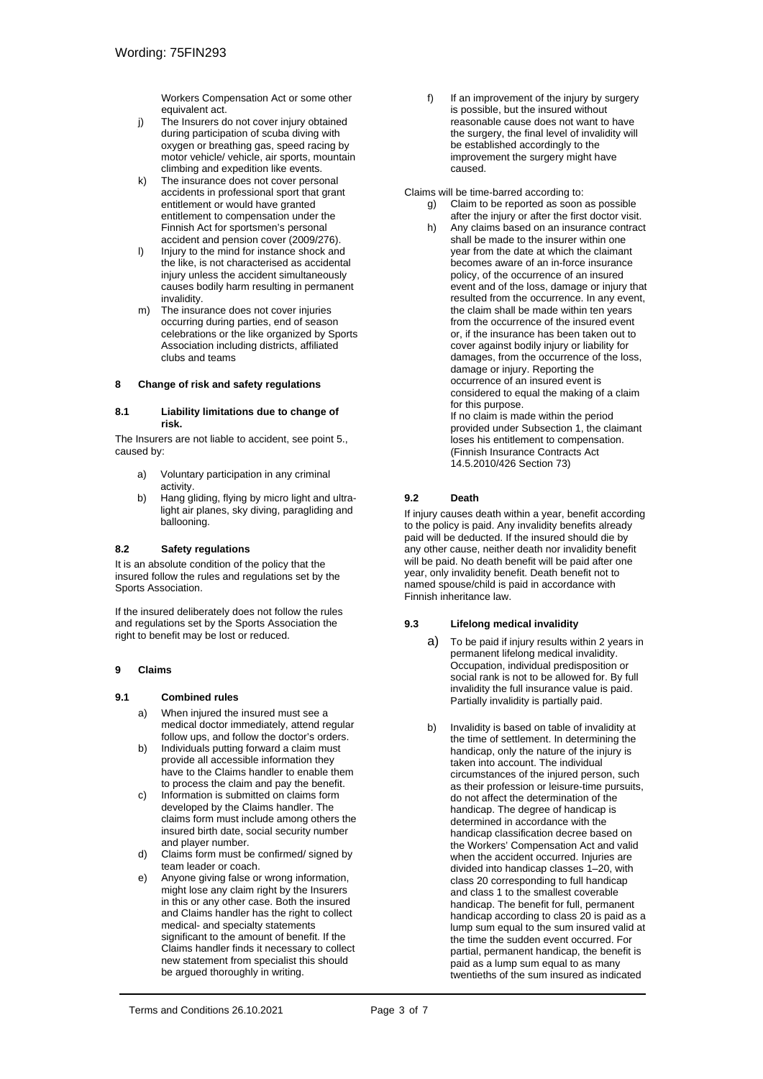Workers Compensation Act or some other equivalent act.

- j) The Insurers do not cover injury obtained during participation of scuba diving with oxygen or breathing gas, speed racing by motor vehicle/ vehicle, air sports, mountain climbing and expedition like events.
- k) The insurance does not cover personal accidents in professional sport that grant entitlement or would have granted entitlement to compensation under the Finnish Act for sportsmen's personal accident and pension cover (2009/276).
- l) Injury to the mind for instance shock and the like, is not characterised as accidental injury unless the accident simultaneously causes bodily harm resulting in permanent invalidity.
- m) The insurance does not cover injuries occurring during parties, end of season celebrations or the like organized by Sports Association including districts, affiliated clubs and teams

#### <span id="page-8-0"></span>**8 Change of risk and safety regulations**

#### **8.1 Liability limitations due to change of risk.**

The Insurers are not liable to accident, see point 5., caused by:

- a) Voluntary participation in any criminal activity.
- b) Hang gliding, flying by micro light and ultralight air planes, sky diving, paragliding and ballooning.

#### **8.2 Safety regulations**

It is an absolute condition of the policy that the insured follow the rules and regulations set by the Sports Association.

If the insured deliberately does not follow the rules and regulations set by the Sports Association the right to benefit may be lost or reduced.

#### <span id="page-8-1"></span>**9 Claims**

#### **9.1 Combined rules**

- a) When injured the insured must see a medical doctor immediately, attend regular follow ups, and follow the doctor's orders.
- b) Individuals putting forward a claim must provide all accessible information they have to the Claims handler to enable them to process the claim and pay the benefit.
- c) Information is submitted on claims form developed by the Claims handler. The claims form must include among others the insured birth date, social security number and player number.
- d) Claims form must be confirmed/ signed by team leader or coach.
- e) Anyone giving false or wrong information, might lose any claim right by the Insurers in this or any other case. Both the insured and Claims handler has the right to collect medical- and specialty statements significant to the amount of benefit. If the Claims handler finds it necessary to collect new statement from specialist this should be argued thoroughly in writing.

f) If an improvement of the injury by surgery is possible, but the insured without reasonable cause does not want to have the surgery, the final level of invalidity will be established accordingly to the improvement the surgery might have caused.

Claims will be time-barred according to:

- g) Claim to be reported as soon as possible after the injury or after the first doctor visit.
- h) Any claims based on an insurance contract shall be made to the insurer within one year from the date at which the claimant becomes aware of an in-force insurance policy, of the occurrence of an insured event and of the loss, damage or injury that resulted from the occurrence. In any event, the claim shall be made within ten years from the occurrence of the insured event or, if the insurance has been taken out to cover against bodily injury or liability for damages, from the occurrence of the loss, damage or injury. Reporting the occurrence of an insured event is considered to equal the making of a claim for this purpose. If no claim is made within the period provided under Subsection 1, the claimant loses his entitlement to compensation. (Finnish Insurance Contracts Act 14.5.2010/426 Section 73)

#### **9.2 Death**

If injury causes death within a year, benefit according to the policy is paid. Any invalidity benefits already paid will be deducted. If the insured should die by any other cause, neither death nor invalidity benefit will be paid. No death benefit will be paid after one year, only invalidity benefit. Death benefit not to named spouse/child is paid in accordance with Finnish inheritance law.

#### **9.3 Lifelong medical invalidity**

- a) To be paid if injury results within 2 years in permanent lifelong medical invalidity. Occupation, individual predisposition or social rank is not to be allowed for. By full invalidity the full insurance value is paid. Partially invalidity is partially paid.
- b) Invalidity is based on table of invalidity at the time of settlement. In determining the handicap, only the nature of the injury is taken into account. The individual circumstances of the injured person, such as their profession or leisure-time pursuits, do not affect the determination of the handicap. The degree of handicap is determined in accordance with the handicap classification decree based on the Workers' Compensation Act and valid when the accident occurred. Injuries are divided into handicap classes 1–20, with class 20 corresponding to full handicap and class 1 to the smallest coverable handicap. The benefit for full, permanent handicap according to class 20 is paid as a lump sum equal to the sum insured valid at the time the sudden event occurred. For partial, permanent handicap, the benefit is paid as a lump sum equal to as many twentieths of the sum insured as indicated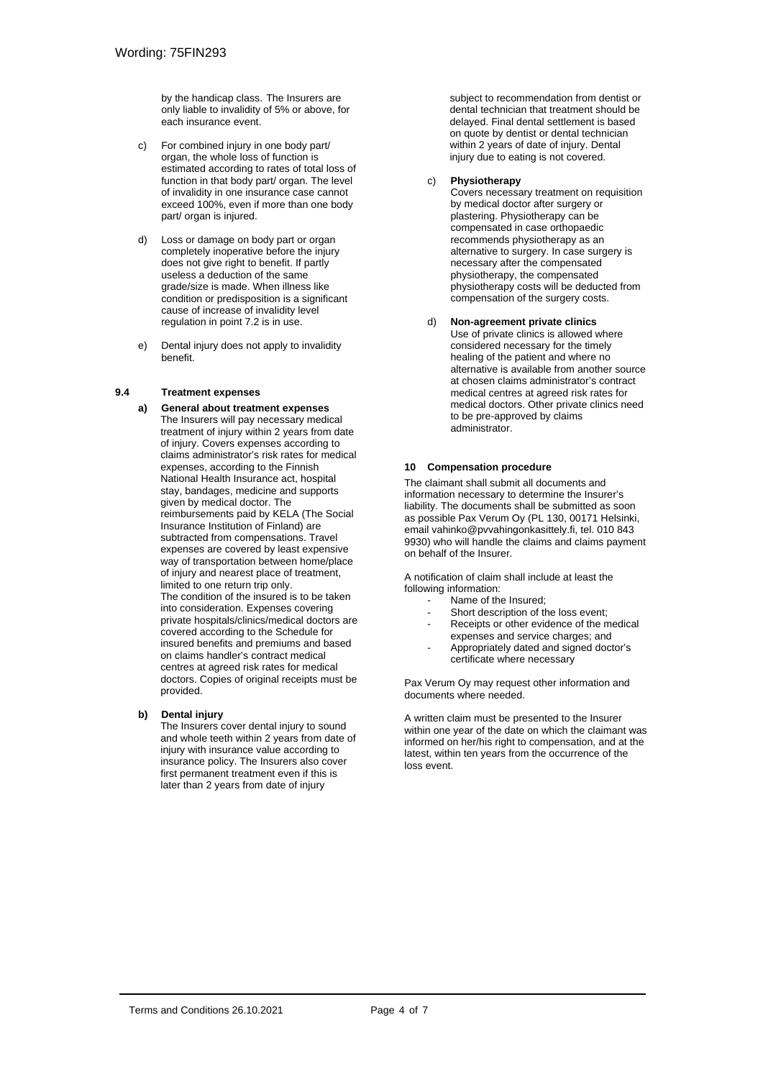by the handicap class. The Insurers are only liable to invalidity of 5% or above, for each insurance event.

- c) For combined injury in one body part/ organ, the whole loss of function is estimated according to rates of total loss of function in that body part/ organ. The level of invalidity in one insurance case cannot exceed 100%, even if more than one body part/ organ is injured.
- d) Loss or damage on body part or organ completely inoperative before the injury does not give right to benefit. If partly useless a deduction of the same grade/size is made. When illness like condition or predisposition is a significant cause of increase of invalidity level regulation in point 7.2 is in use.
- e) Dental injury does not apply to invalidity benefit.

#### **9.4 Treatment expenses**

**a) General about treatment expenses** The Insurers will pay necessary medical treatment of injury within 2 years from date of injury. Covers expenses according to claims administrator's risk rates for medical expenses, according to the Finnish National Health Insurance act, hospital stay, bandages, medicine and supports given by medical doctor. The reimbursements paid by KELA (The Social Insurance Institution of Finland) are subtracted from compensations. Travel expenses are covered by least expensive way of transportation between home/place of injury and nearest place of treatment, limited to one return trip only. The condition of the insured is to be taken into consideration. Expenses covering private hospitals/clinics/medical doctors are covered according to the Schedule for insured benefits and premiums and based on claims handler's contract medical centres at agreed risk rates for medical doctors. Copies of original receipts must be provided.

#### **b) Dental injury**

The Insurers cover dental injury to sound and whole teeth within 2 years from date of injury with insurance value according to insurance policy. The Insurers also cover first permanent treatment even if this is later than 2 years from date of injury

subject to recommendation from dentist or dental technician that treatment should be delayed. Final dental settlement is based on quote by dentist or dental technician within 2 years of date of injury. Dental injury due to eating is not covered.

#### c) **Physiotherapy**

Covers necessary treatment on requisition by medical doctor after surgery or plastering. Physiotherapy can be compensated in case orthopaedic recommends physiotherapy as an alternative to surgery. In case surgery is necessary after the compensated physiotherapy, the compensated physiotherapy costs will be deducted from compensation of the surgery costs.

#### d) **Non-agreement private clinics** Use of private clinics is allowed where considered necessary for the timely healing of the patient and where no alternative is available from another source at chosen claims administrator's contract medical centres at agreed risk rates for medical doctors. Other private clinics need to be pre-approved by claims administrator.

#### <span id="page-9-0"></span>**10 Compensation procedure**

The claimant shall submit all documents and information necessary to determine the Insurer's liability. The documents shall be submitted as soon as possible Pax Verum Oy (PL 130, 00171 Helsinki, email vahinko@pvvahingonkasittely.fi, tel. 010 843 9930) who will handle the claims and claims payment on behalf of the Insurer.

A notification of claim shall include at least the following information:

- Name of the Insured;
- Short description of the loss event;
- Receipts or other evidence of the medical expenses and service charges; and
- Appropriately dated and signed doctor's certificate where necessary

Pax Verum Oy may request other information and documents where needed.

A written claim must be presented to the Insurer within one year of the date on which the claimant was informed on her/his right to compensation, and at the latest, within ten years from the occurrence of the loss event.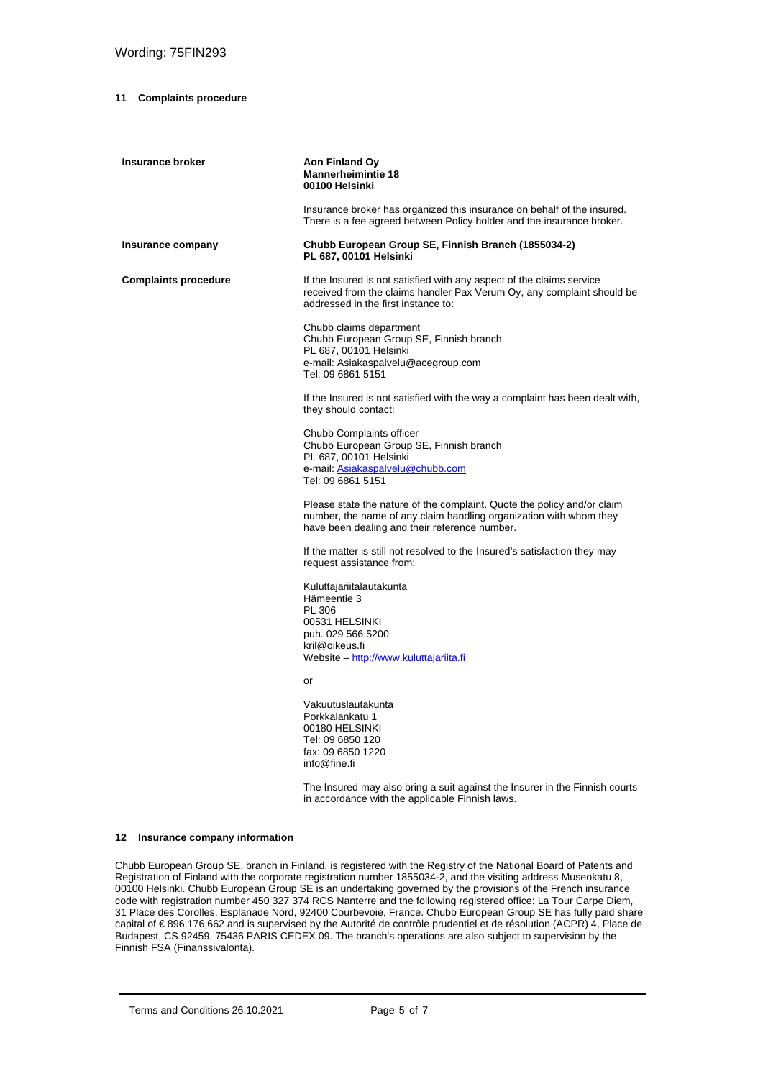#### <span id="page-10-0"></span>**11 Complaints procedure**

| Insurance broker            | Aon Finland Oy<br><b>Mannerheimintie 18</b><br>00100 Helsinki                                                                                                                                  |
|-----------------------------|------------------------------------------------------------------------------------------------------------------------------------------------------------------------------------------------|
|                             | Insurance broker has organized this insurance on behalf of the insured.<br>There is a fee agreed between Policy holder and the insurance broker.                                               |
| Insurance company           | Chubb European Group SE, Finnish Branch (1855034-2)<br>PL 687, 00101 Helsinki                                                                                                                  |
| <b>Complaints procedure</b> | If the Insured is not satisfied with any aspect of the claims service<br>received from the claims handler Pax Verum Oy, any complaint should be<br>addressed in the first instance to:         |
|                             | Chubb claims department<br>Chubb European Group SE, Finnish branch<br>PL 687, 00101 Helsinki<br>e-mail: Asiakaspalvelu@acegroup.com<br>Tel: 09 6861 5151                                       |
|                             | If the Insured is not satisfied with the way a complaint has been dealt with,<br>they should contact:                                                                                          |
|                             | Chubb Complaints officer<br>Chubb European Group SE, Finnish branch<br>PL 687, 00101 Helsinki<br>e-mail: Asiakaspalvelu@chubb.com<br>Tel: 09 6861 5151                                         |
|                             | Please state the nature of the complaint. Quote the policy and/or claim<br>number, the name of any claim handling organization with whom they<br>have been dealing and their reference number. |
|                             | If the matter is still not resolved to the Insured's satisfaction they may<br>request assistance from:                                                                                         |
|                             | Kuluttajariitalautakunta<br>Hämeentie 3<br>PL 306<br>00531 HELSINKI<br>puh. 029 566 5200<br>kril@oikeus.fi<br>Website - http://www.kuluttajariita.fi                                           |
|                             | or                                                                                                                                                                                             |
|                             | Vakuutuslautakunta<br>Porkkalankatu 1<br>00180 HELSINKI<br>Tel: 09 6850 120<br>fax: 09 6850 1220<br>info@fine.fi                                                                               |
|                             | The Insured may also bring a suit against the Insurer in the Finnish courts<br>in accordance with the applicable Finnish laws.                                                                 |

#### <span id="page-10-1"></span>**12 Insurance company information**

Chubb European Group SE, branch in Finland, is registered with the Registry of the National Board of Patents and Registration of Finland with the corporate registration number 1855034-2, and the visiting address Museokatu 8, 00100 Helsinki. Chubb European Group SE is an undertaking governed by the provisions of the French insurance code with registration number 450 327 374 RCS Nanterre and the following registered office: La Tour Carpe Diem, 31 Place des Corolles, Esplanade Nord, 92400 Courbevoie, France. Chubb European Group SE has fully paid share capital of € 896,176,662 and is supervised by the Autorité de contrôle prudentiel et de résolution (ACPR) 4, Place de Budapest, CS 92459, 75436 PARIS CEDEX 09. The branch's operations are also subject to supervision by the Finnish FSA (Finanssivalonta).

Terms and Conditions 26.10.2021 Page 5 of 7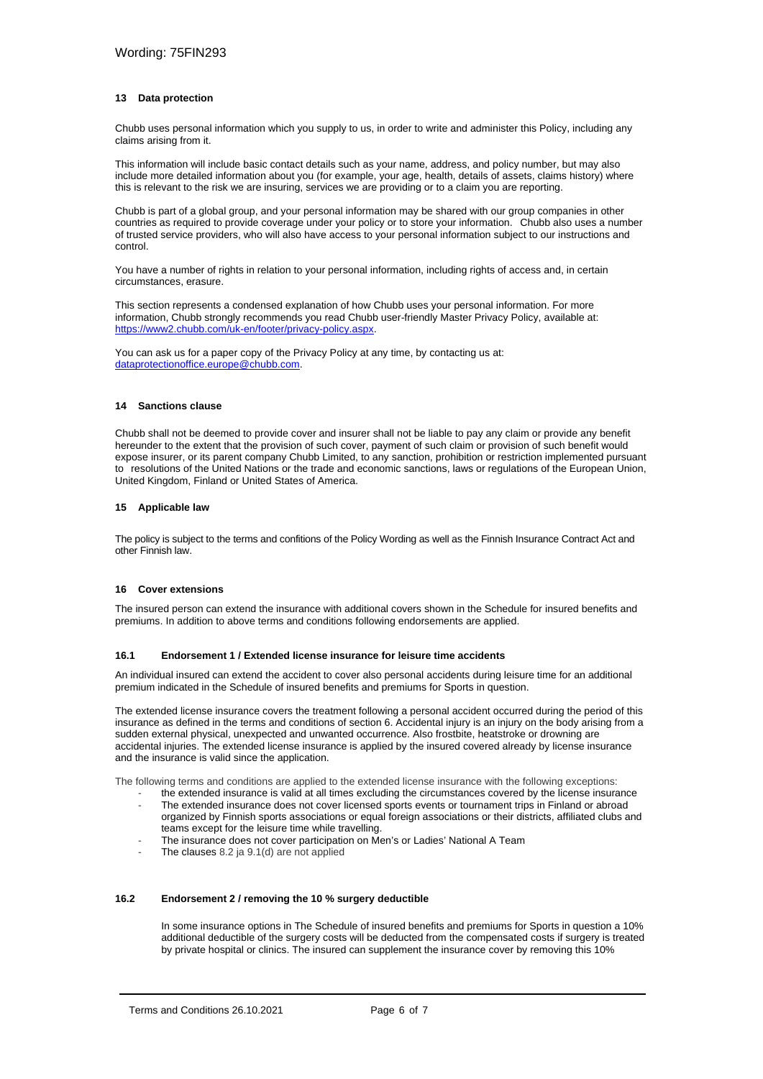#### <span id="page-11-0"></span>**13 Data protection**

Chubb uses personal information which you supply to us, in order to write and administer this Policy, including any claims arising from it.

This information will include basic contact details such as your name, address, and policy number, but may also include more detailed information about you (for example, your age, health, details of assets, claims history) where this is relevant to the risk we are insuring, services we are providing or to a claim you are reporting.

Chubb is part of a global group, and your personal information may be shared with our group companies in other countries as required to provide coverage under your policy or to store your information. Chubb also uses a number of trusted service providers, who will also have access to your personal information subject to our instructions and control.

You have a number of rights in relation to your personal information, including rights of access and, in certain circumstances, erasure.

This section represents a condensed explanation of how Chubb uses your personal information. For more information, Chubb strongly recommends you read Chubb user-friendly Master Privacy Policy, available at: [https://www2.chubb.com/uk-en/footer/privacy-policy.aspx.](https://www2.chubb.com/uk-en/footer/privacy-policy.aspx) 

You can ask us for a paper copy of the Privacy Policy at any time, by contacting us at: [dataprotectionoffice.europe@chubb.com.](mailto:dataprotectionoffice.europe@chubb.com)

#### <span id="page-11-1"></span>**14 Sanctions clause**

Chubb shall not be deemed to provide cover and insurer shall not be liable to pay any claim or provide any benefit hereunder to the extent that the provision of such cover, payment of such claim or provision of such benefit would expose insurer, or its parent company Chubb Limited, to any sanction, prohibition or restriction implemented pursuant to resolutions of the United Nations or the trade and economic sanctions, laws or regulations of the European Union, United Kingdom, Finland or United States of America.

#### <span id="page-11-2"></span>**15 Applicable law**

The policy is subject to the terms and confitions of the Policy Wording as well as the Finnish Insurance Contract Act and other Finnish law.

#### <span id="page-11-3"></span>**16 Cover extensions**

The insured person can extend the insurance with additional covers shown in the Schedule for insured benefits and premiums. In addition to above terms and conditions following endorsements are applied.

#### **16.1 Endorsement 1 / Extended license insurance for leisure time accidents**

An individual insured can extend the accident to cover also personal accidents during leisure time for an additional premium indicated in the Schedule of insured benefits and premiums for Sports in question.

The extended license insurance covers the treatment following a personal accident occurred during the period of this insurance as defined in the terms and conditions of section 6. Accidental injury is an injury on the body arising from a sudden external physical, unexpected and unwanted occurrence. Also frostbite, heatstroke or drowning are accidental injuries. The extended license insurance is applied by the insured covered already by license insurance and the insurance is valid since the application.

The following terms and conditions are applied to the extended license insurance with the following exceptions:

- the extended insurance is valid at all times excluding the circumstances covered by the license insurance The extended insurance does not cover licensed sports events or tournament trips in Finland or abroad organized by Finnish sports associations or equal foreign associations or their districts, affiliated clubs and teams except for the leisure time while travelling.
- The insurance does not cover participation on Men's or Ladies' National A Team
- The clauses 8.2 ja 9.1(d) are not applied

#### **16.2 Endorsement 2 / removing the 10 % surgery deductible**

In some insurance options in The Schedule of insured benefits and premiums for Sports in question a 10% additional deductible of the surgery costs will be deducted from the compensated costs if surgery is treated by private hospital or clinics. The insured can supplement the insurance cover by removing this 10%